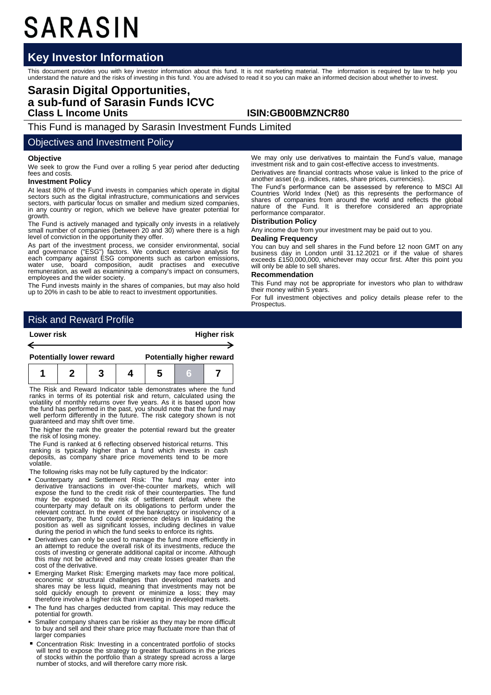# SARASIN

## **Key Investor Information**

This document provides you with key investor information about this fund. It is not marketing material. The information is required by law to help you<br>understand the nature and the risks of investing in this fund. You are

## **Sarasin Digital Opportunities, a sub-fund of Sarasin Funds ICVC Class L Income Units ISIN:GB00BMZNCR80**

This Fund is managed by Sarasin Investment Funds Limited

### Objectives and Investment Policy

#### **Objective**

We seek to grow the Fund over a rolling 5 year period after deducting fees and costs.

#### **Investment Policy**

At least 80% of the Fund invests in companies which operate in digital sectors such as the digital infrastructure, communications and services sectors, with particular focus on smaller and medium sized companies, in any country or region, which we believe have greater potential for growth.

The Fund is actively managed and typically only invests in a relatively small number of companies (between 20 and 30) where there is a high level of conviction in the opportunity they offer.

As part of the investment process, we consider environmental, social<br>and governance ("ESG") factors. We conduct extensive analysis for<br>each company against ESG components such as carbon emissions,<br>water use, board composit employees and the wider society.

The Fund invests mainly in the shares of companies, but may also hold up to 20% in cash to be able to react to investment opportunities.

We may only use derivatives to maintain the Fund's value, manage investment risk and to gain cost-effective access to investments.

Derivatives are financial contracts whose value is linked to the price of another asset (e.g. indices, rates, share prices, currencies).

The Fund's performance can be assessed by reference to MSCI All Countries World Index (Net) as this represents the performance of shares of companies from around the world and reflects the global nature of the Fund. It is therefore considered an appropriate performance comparator.

#### **Distribution Policy**

Any income due from your investment may be paid out to you.

#### **Dealing Frequency**

You can buy and sell shares in the Fund before 12 noon GMT on any business day in London until 31.12.2021 or if the value of shares exceeds £150,000,000, whichever may occur first. After this point you will only be able to

#### **Recommendation**

This Fund may not be appropriate for investors who plan to withdraw their money within 5 years.

For full investment objectives and policy details please refer to the **Prospectus** 

## Risk and Reward Profile

| Lower risk                      |  |  |  | <b>Higher risk</b>               |  |  |  |
|---------------------------------|--|--|--|----------------------------------|--|--|--|
|                                 |  |  |  |                                  |  |  |  |
| <b>Potentially lower reward</b> |  |  |  | <b>Potentially higher reward</b> |  |  |  |
|                                 |  |  |  |                                  |  |  |  |

The Risk and Reward Indicator table demonstrates where the fund ranks in terms of its potential risk and return, calculated using the volatility of monthly returns over five years. As it is based upon how the fund has performed in the past, you should note that the fund may well perform differently in the future. The risk category shown is not guaranteed and may shift over time.

The higher the rank the greater the potential reward but the greater the risk of losing money.

The Fund is ranked at 6 reflecting observed historical returns. This ranking is typically higher than a fund which invests in cash deposits, as company share price movements tend to be more volatile.

The following risks may not be fully captured by the Indicator:

- Counterparty and Settlement Risk: The fund may enter into derivative transactions in over-the-counter markets, which will expose the fund to the credit risk of their counterparties. The fund may be exposed to the risk of settlement default where the counterparty may default on its obligations to perform under the relevant contract. In the event of the bankruptcy or insolvency of a counterparty, the fund could experience delays in liquidating the position as well as significant losses, including declines in value during the period in which the fund seeks to enforce its rights.
- Derivatives can only be used to manage the fund more efficiently in an attempt to reduce the overall risk of its investments, reduce the costs of investing or generate additional capital or income. Although this may not be achieved and may create losses greater than the cost of the derivative.
- Emerging Market Risk: Emerging markets may face more political, economic or structural challenges than developed markets and shares may be less liquid, meaning that investments may not be sold quickly enough to prevent or minimize a loss; they may therefore involve a higher risk than investing in developed markets.
- The fund has charges deducted from capital. This may reduce the potential for growth.
- Smaller company shares can be riskier as they may be more difficult to buy and sell and their share price may fluctuate more than that of larger companies
- Concentration Risk: Investing in a concentrated portfolio of stocks will tend to expose the strategy to greater fluctuations in the prices of stocks within the portfolio than a strategy spread across a large number of stocks, and will therefore carry more risk.